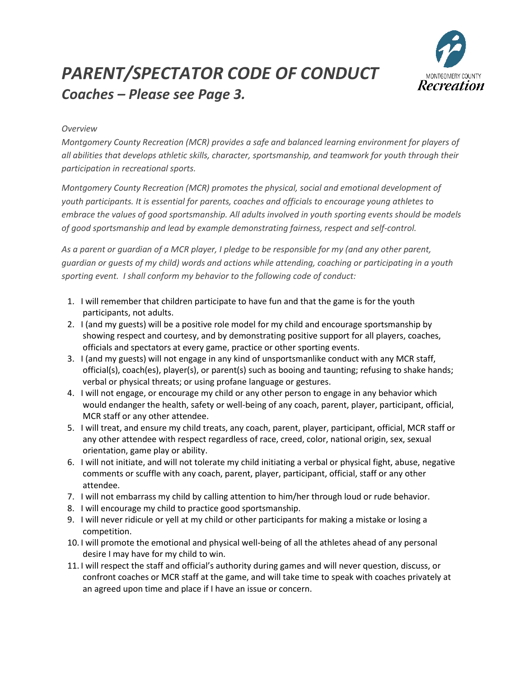

## *PARENT/SPECTATOR CODE OF CONDUCT Coaches – Please see Page 3.*

## *Overview*

*Montgomery County Recreation (MCR) provides a safe and balanced learning environment for players of all abilities that develops athletic skills, character, sportsmanship, and teamwork for youth through their participation in recreational sports.* 

*Montgomery County Recreation (MCR) promotes the physical, social and emotional development of youth participants. It is essential for parents, coaches and officials to encourage young athletes to embrace the values of good sportsmanship. All adults involved in youth sporting events should be models of good sportsmanship and lead by example demonstrating fairness, respect and self-control.*

*As a parent or guardian of a MCR player, I pledge to be responsible for my (and any other parent, guardian or guests of my child) words and actions while attending, coaching or participating in a youth sporting event. I shall conform my behavior to the following code of conduct:*

- 1. I will remember that children participate to have fun and that the game is for the youth participants, not adults.
- 2. I (and my guests) will be a positive role model for my child and encourage sportsmanship by showing respect and courtesy, and by demonstrating positive support for all players, coaches, officials and spectators at every game, practice or other sporting events.
- 3. I (and my guests) will not engage in any kind of unsportsmanlike conduct with any MCR staff, official(s), coach(es), player(s), or parent(s) such as booing and taunting; refusing to shake hands; verbal or physical threats; or using profane language or gestures.
- 4. I will not engage, or encourage my child or any other person to engage in any behavior which would endanger the health, safety or well-being of any coach, parent, player, participant, official, MCR staff or any other attendee.
- 5. I will treat, and ensure my child treats, any coach, parent, player, participant, official, MCR staff or any other attendee with respect regardless of race, creed, color, national origin, sex, sexual orientation, game play or ability.
- 6. I will not initiate, and will not tolerate my child initiating a verbal or physical fight, abuse, negative comments or scuffle with any coach, parent, player, participant, official, staff or any other attendee.
- 7. I will not embarrass my child by calling attention to him/her through loud or rude behavior.
- 8. I will encourage my child to practice good sportsmanship.
- 9. I will never ridicule or yell at my child or other participants for making a mistake or losing a competition.
- 10. I will promote the emotional and physical well-being of all the athletes ahead of any personal desire I may have for my child to win.
- 11. I will respect the staff and official's authority during games and will never question, discuss, or confront coaches or MCR staff at the game, and will take time to speak with coaches privately at an agreed upon time and place if I have an issue or concern.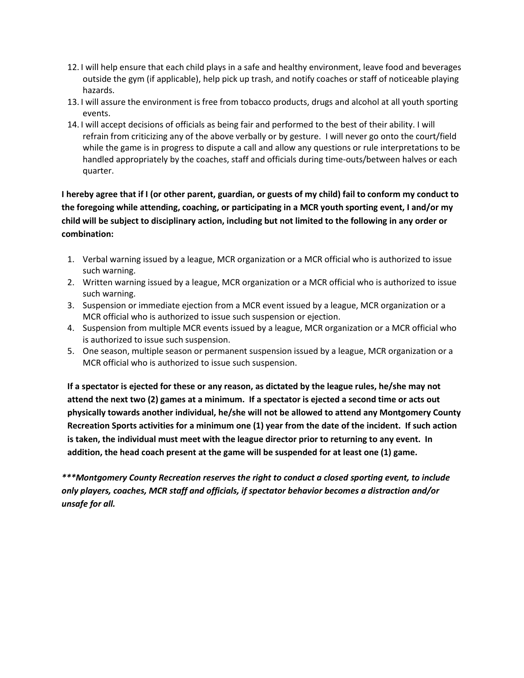- 12. I will help ensure that each child plays in a safe and healthy environment, leave food and beverages outside the gym (if applicable), help pick up trash, and notify coaches or staff of noticeable playing hazards.
- 13. I will assure the environment is free from tobacco products, drugs and alcohol at all youth sporting events.
- 14. I will accept decisions of officials as being fair and performed to the best of their ability. I will refrain from criticizing any of the above verbally or by gesture. I will never go onto the court/field while the game is in progress to dispute a call and allow any questions or rule interpretations to be handled appropriately by the coaches, staff and officials during time-outs/between halves or each quarter.

**I hereby agree that if I (or other parent, guardian, or guests of my child) fail to conform my conduct to the foregoing while attending, coaching, or participating in a MCR youth sporting event, I and/or my child will be subject to disciplinary action, including but not limited to the following in any order or combination:**

- 1. Verbal warning issued by a league, MCR organization or a MCR official who is authorized to issue such warning.
- 2. Written warning issued by a league, MCR organization or a MCR official who is authorized to issue such warning.
- 3. Suspension or immediate ejection from a MCR event issued by a league, MCR organization or a MCR official who is authorized to issue such suspension or ejection.
- 4. Suspension from multiple MCR events issued by a league, MCR organization or a MCR official who is authorized to issue such suspension.
- 5. One season, multiple season or permanent suspension issued by a league, MCR organization or a MCR official who is authorized to issue such suspension.

**If a spectator is ejected for these or any reason, as dictated by the league rules, he/she may not attend the next two (2) games at a minimum. If a spectator is ejected a second time or acts out physically towards another individual, he/she will not be allowed to attend any Montgomery County Recreation Sports activities for a minimum one (1) year from the date of the incident. If such action is taken, the individual must meet with the league director prior to returning to any event. In addition, the head coach present at the game will be suspended for at least one (1) game.**

*\*\*\*Montgomery County Recreation reserves the right to conduct a closed sporting event, to include only players, coaches, MCR staff and officials, if spectator behavior becomes a distraction and/or unsafe for all.*